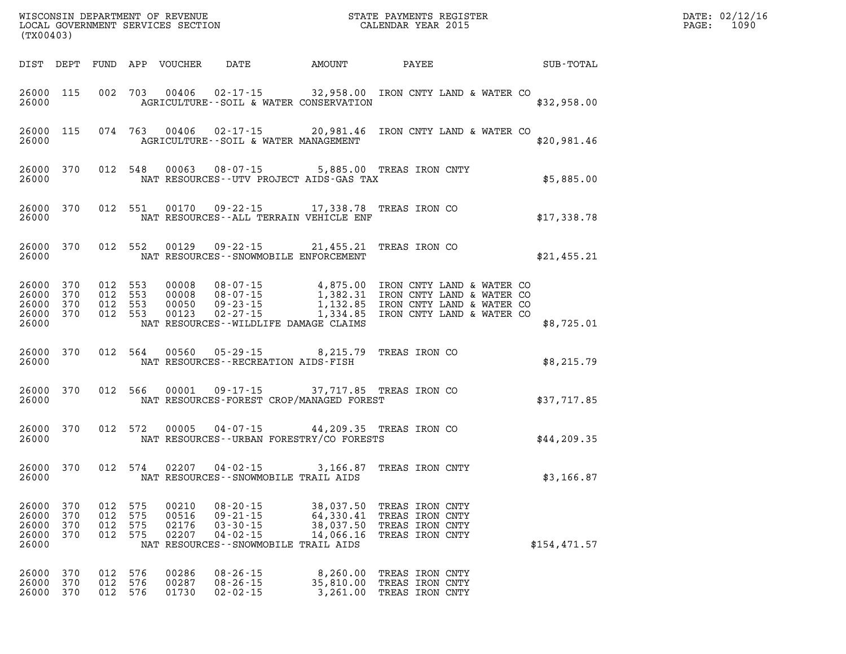| (TX00403)                                             |                          |                                          |                          |                                  |                                                                                                                 |                                                  |                                                                                                                                                                                                                | $\mathbb{R}^n$ | PAGE:         | DATE: 02/12/16<br>1090 |  |
|-------------------------------------------------------|--------------------------|------------------------------------------|--------------------------|----------------------------------|-----------------------------------------------------------------------------------------------------------------|--------------------------------------------------|----------------------------------------------------------------------------------------------------------------------------------------------------------------------------------------------------------------|----------------|---------------|------------------------|--|
| DIST DEPT                                             |                          |                                          |                          | FUND APP VOUCHER                 | DATE                                                                                                            | <b>AMOUNT</b>                                    | PAYEE                                                                                                                                                                                                          |                | SUB-TOTAL     |                        |  |
| 26000 115<br>26000                                    |                          |                                          |                          |                                  | AGRICULTURE -- SOIL & WATER CONSERVATION                                                                        |                                                  | 002 703 00406 02-17-15 32,958.00 IRON CNTY LAND & WATER CO                                                                                                                                                     |                | \$32,958.00   |                        |  |
| 26000 115<br>26000                                    |                          |                                          | 074 763                  |                                  | AGRICULTURE--SOIL & WATER MANAGEMENT                                                                            |                                                  | 00406  02-17-15  20,981.46  IRON CNTY LAND & WATER CO                                                                                                                                                          |                | \$20,981.46   |                        |  |
| 26000 370<br>26000                                    |                          |                                          | 012 548                  |                                  | NAT RESOURCES--UTV PROJECT AIDS-GAS TAX                                                                         |                                                  | 00063  08-07-15  5,885.00  TREAS IRON CNTY                                                                                                                                                                     |                | \$5,885.00    |                        |  |
| 26000 370<br>26000                                    |                          |                                          | 012 551                  |                                  | NAT RESOURCES--ALL TERRAIN VEHICLE ENF                                                                          |                                                  | 00170  09-22-15  17,338.78  TREAS IRON CO                                                                                                                                                                      |                | \$17,338.78   |                        |  |
| 26000 370<br>26000                                    |                          |                                          | 012 552                  |                                  | NAT RESOURCES - - SNOWMOBILE ENFORCEMENT                                                                        |                                                  | 00129  09-22-15  21,455.21  TREAS IRON CO                                                                                                                                                                      |                | \$21,455.21   |                        |  |
| 26000 370<br>26000<br>26000 370<br>26000 370<br>26000 | 370                      | 012 553<br>012 553<br>012 553<br>012 553 |                          |                                  | NAT RESOURCES--WILDLIFE DAMAGE CLAIMS                                                                           |                                                  | 00008 08-07-15 4,875.00 IRON CNTY LAND & WAILLY<br>00008 08-07-15 1,382.31 IRON CNTY LAND & WATER CO<br>00050 09-23-15 1,132.85 IRON CNTY LAND & WATER CO<br>00123 02-27-15 1,334.85 IRON CNTY LAND & WATER CO |                | \$8,725.01    |                        |  |
| 26000 370<br>26000                                    |                          |                                          | 012 564                  | 00560                            | 05-29-15<br>NAT RESOURCES - - RECREATION AIDS - FISH                                                            |                                                  | 8,215.79 TREAS IRON CO                                                                                                                                                                                         |                | \$8,215.79    |                        |  |
| 26000 370<br>26000                                    |                          |                                          | 012 566                  |                                  | 00001 09-17-15<br>NAT RESOURCES-FOREST CROP/MANAGED FOREST                                                      |                                                  | 37,717.85 TREAS IRON CO                                                                                                                                                                                        |                | \$37,717.85   |                        |  |
| 26000 370<br>26000                                    |                          | 012 572                                  |                          | 00005                            | NAT RESOURCES - - URBAN FORESTRY/CO FORESTS                                                                     |                                                  | 04-07-15 44,209.35 TREAS IRON CO                                                                                                                                                                               |                | \$44, 209.35  |                        |  |
| 26000 370<br>26000                                    |                          | 012 574                                  |                          |                                  | $02207$ $04 - 02 - 15$<br>NAT RESOURCES - - SNOWMOBILE TRAIL AIDS                                               |                                                  | 3,166.87 TREAS IRON CNTY                                                                                                                                                                                       |                | \$3,166.87    |                        |  |
| 26000<br>26000<br>26000<br>26000<br>26000             | 370<br>370<br>370<br>370 | 012<br>012<br>012<br>012                 | 575<br>575<br>575<br>575 | 00210<br>00516<br>02176<br>02207 | $08 - 20 - 15$<br>$09 - 21 - 15$<br>$03 - 30 - 15$<br>$04 - 02 - 15$<br>NAT RESOURCES - - SNOWMOBILE TRAIL AIDS | 38,037.50<br>64,330.41<br>38,037.50<br>14,066.16 | TREAS IRON CNTY<br>TREAS IRON CNTY<br>TREAS IRON CNTY<br>TREAS IRON CNTY                                                                                                                                       |                | \$154, 471.57 |                        |  |
| 26000<br>26000<br>26000                               | 370<br>370<br>370        | 012<br>012<br>012                        | 576<br>576<br>576        | 00286<br>00287<br>01730          | $08 - 26 - 15$<br>$08 - 26 - 15$<br>$02 - 02 - 15$                                                              | 8,260.00<br>35,810.00<br>3,261.00                | TREAS IRON CNTY<br>TREAS IRON CNTY<br>TREAS IRON CNTY                                                                                                                                                          |                |               |                        |  |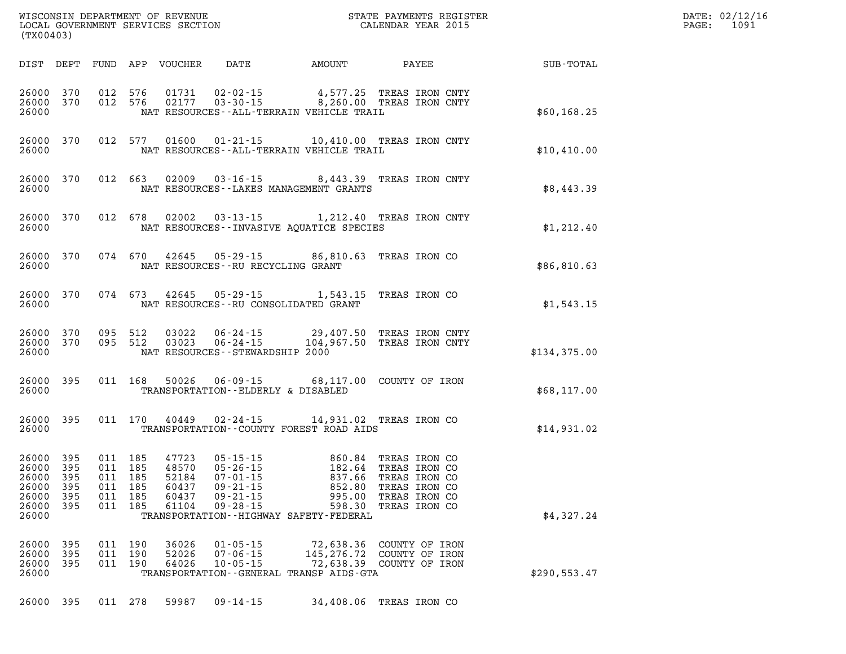| WISCONSIN DEPARTMENT OF REVENUE   | PAYMENTS REGISTER<br>3TATE | DATE: | 02/12/16 |
|-----------------------------------|----------------------------|-------|----------|
| LOCAL GOVERNMENT SERVICES SECTION | CALENDAR YEAR 2015         | PAGE  | 1091     |

| (TX00403)                                          |                                        |     |                                                                | LOCAL GOVERNMENT SERVICES SECTION                  |                                                    | CALENDAR YEAR 2015                                                                                                                                                                                                                                                                             |                                |                                                        | PAGE: | 1091 |
|----------------------------------------------------|----------------------------------------|-----|----------------------------------------------------------------|----------------------------------------------------|----------------------------------------------------|------------------------------------------------------------------------------------------------------------------------------------------------------------------------------------------------------------------------------------------------------------------------------------------------|--------------------------------|--------------------------------------------------------|-------|------|
|                                                    |                                        |     |                                                                |                                                    |                                                    |                                                                                                                                                                                                                                                                                                |                                | DIST DEPT FUND APP VOUCHER DATE AMOUNT PAYEE SUB-TOTAL |       |      |
| 26000 370<br>26000 370<br>26000                    |                                        |     |                                                                |                                                    |                                                    | 012 576 01731 02-02-15 4,577.25 TREAS IRON CNTY<br>012 576 02177 03-30-15 8,260.00 TREAS IRON CNTY<br>NAT RESOURCES--ALL-TERRAIN VEHICLE TRAIL                                                                                                                                                 |                                | \$60,168.25                                            |       |      |
| 26000<br>26000                                     | 370                                    |     |                                                                |                                                    |                                                    | 012 577 01600 01-21-15 10,410.00 TREAS IRON CNTY<br>NAT RESOURCES - - ALL - TERRAIN VEHICLE TRAIL                                                                                                                                                                                              |                                | \$10,410.00                                            |       |      |
| 26000<br>26000                                     | 370                                    |     |                                                                |                                                    |                                                    | 012 663 02009 03-16-15 8,443.39 TREAS IRON CNTY<br>NAT RESOURCES - - LAKES MANAGEMENT GRANTS                                                                                                                                                                                                   |                                | \$8,443.39                                             |       |      |
| 26000<br>26000                                     | 370                                    |     |                                                                |                                                    |                                                    | 012 678 02002 03-13-15 1,212.40 TREAS IRON CNTY<br>NAT RESOURCES--INVASIVE AQUATICE SPECIES                                                                                                                                                                                                    |                                | \$1,212.40                                             |       |      |
| 26000<br>26000                                     | 370                                    |     |                                                                |                                                    | NAT RESOURCES -- RU RECYCLING GRANT                | 074 670 42645 05-29-15 86,810.63 TREAS IRON CO                                                                                                                                                                                                                                                 |                                | \$86,810.63                                            |       |      |
| 26000<br>26000                                     | 370                                    |     |                                                                |                                                    |                                                    | 074 673 42645 05-29-15 1,543.15 TREAS IRON CO<br>NAT RESOURCES -- RU CONSOLIDATED GRANT                                                                                                                                                                                                        |                                | \$1,543.15                                             |       |      |
| 26000<br>26000 370<br>26000                        | 370                                    |     |                                                                |                                                    | NAT RESOURCES - - STEWARDSHIP 2000                 | 095 512 03022 06-24-15 29,407.50 TREAS IRON CNTY<br>095 512 03023 06-24-15 104,967.50 TREAS IRON CNTY                                                                                                                                                                                          |                                | \$134,375.00                                           |       |      |
| 26000 395<br>26000                                 |                                        |     |                                                                |                                                    | TRANSPORTATION--ELDERLY & DISABLED                 | 011 168 50026 06-09-15 68,117.00 COUNTY OF IRON                                                                                                                                                                                                                                                |                                | \$68,117.00                                            |       |      |
| 26000                                              | 26000 395                              |     |                                                                |                                                    |                                                    | 011 170 40449 02-24-15 14,931.02 TREAS IRON CO<br>TRANSPORTATION--COUNTY FOREST ROAD AIDS                                                                                                                                                                                                      |                                | \$14,931.02                                            |       |      |
| 26000<br>26000<br>26000<br>26000<br>26000<br>26000 | 395<br>395<br>395<br>395<br>395<br>395 |     | 011 185<br>011 185<br>011 185<br>011 185<br>011 185<br>011 185 | 47723<br>48570<br>52184<br>60437<br>60437<br>61104 | $09 - 21 - 15$<br>$09 - 28 - 15$                   | 05-15-15<br>05-26-15<br>05-26-15<br>07-01-15<br>09-21-15<br>09-21-15<br>09-21-15<br>09-21-15<br>09-21-15<br>09-21-15<br>09-21-15<br>09-21-15<br>09-21-15<br>09-21-15<br>09-21-15<br>09-21-15<br>09-21-15<br>09-21-15<br>09-21-15<br>09-21-15<br>09-21-15<br>09-21-15<br>09<br>995.00<br>598.30 | TREAS IRON CO<br>TREAS IRON CO |                                                        |       |      |
| 26000                                              |                                        |     |                                                                |                                                    |                                                    | TRANSPORTATION - - HIGHWAY SAFETY - FEDERAL                                                                                                                                                                                                                                                    |                                | \$4,327.24                                             |       |      |
| 26000<br>26000<br>26000<br>26000                   | 395<br>395<br>395                      | 011 | 011 190<br>190<br>011 190                                      | 36026<br>52026<br>64026                            | $01 - 05 - 15$<br>$07 - 06 - 15$<br>$10 - 05 - 15$ | 72,638.36 COUNTY OF IRON<br>145,276.72 COUNTY OF IRON<br>72,638.39 COUNTY OF IRON<br>TRANSPORTATION--GENERAL TRANSP AIDS-GTA                                                                                                                                                                   |                                | \$290,553.47                                           |       |      |
|                                                    |                                        |     |                                                                |                                                    |                                                    |                                                                                                                                                                                                                                                                                                |                                |                                                        |       |      |

**26000 395 011 278 59987 09-14-15 34,408.06 TREAS IRON CO**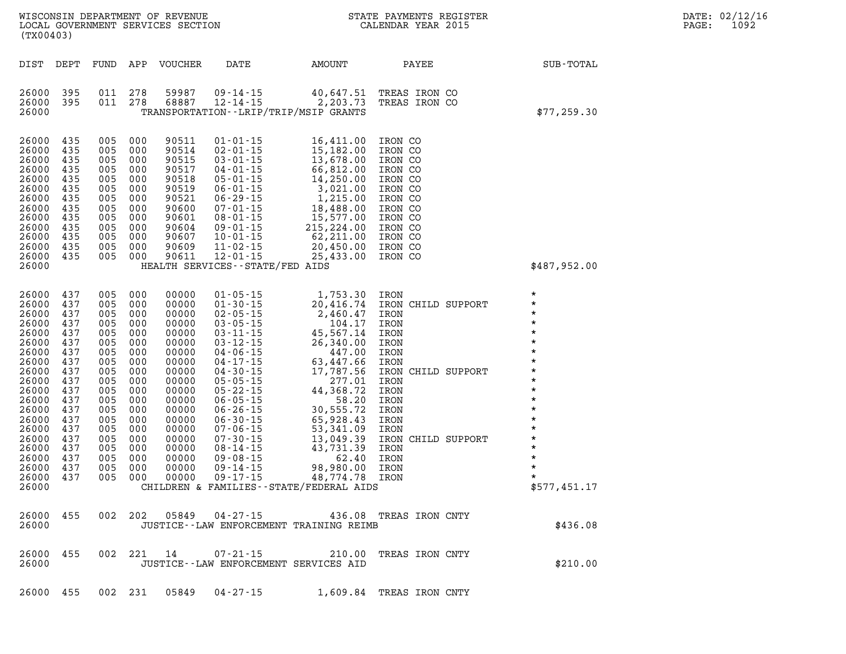| (TX00403)                                                                                                                                                                                 |                                                                                                                                          |                                                                                                                                          |                                                                                                                                          |                                                                                                                                                                                  | WISCONSIN DEPARTMENT OF REVENUE<br>LOCAL GOVERNMENT SERVICES SECTION<br>(TYA04403)              |                                                                                                                                                                                                                                                                                                                                                             | STATE PAYMENTS REGISTER<br>CALENDAR YEAR 2015                                                                                                                                                            |                                                                                                                                                                                                                                          |
|-------------------------------------------------------------------------------------------------------------------------------------------------------------------------------------------|------------------------------------------------------------------------------------------------------------------------------------------|------------------------------------------------------------------------------------------------------------------------------------------|------------------------------------------------------------------------------------------------------------------------------------------|----------------------------------------------------------------------------------------------------------------------------------------------------------------------------------|-------------------------------------------------------------------------------------------------|-------------------------------------------------------------------------------------------------------------------------------------------------------------------------------------------------------------------------------------------------------------------------------------------------------------------------------------------------------------|----------------------------------------------------------------------------------------------------------------------------------------------------------------------------------------------------------|------------------------------------------------------------------------------------------------------------------------------------------------------------------------------------------------------------------------------------------|
| DIST                                                                                                                                                                                      | DEPT                                                                                                                                     | FUND APP                                                                                                                                 |                                                                                                                                          | VOUCHER                                                                                                                                                                          | DATE                                                                                            | AMOUNT                                                                                                                                                                                                                                                                                                                                                      | PAYEE                                                                                                                                                                                                    | SUB-TOTAL                                                                                                                                                                                                                                |
| 26000<br>26000<br>26000                                                                                                                                                                   | 395<br>395                                                                                                                               | 011<br>011                                                                                                                               | 278<br>278                                                                                                                               |                                                                                                                                                                                  | 59987 09-14-15 40,647.51<br>68887 12-14-15 2,203.73<br>TRANSPORTATION - - LRIP/TRIP/MSIP GRANTS |                                                                                                                                                                                                                                                                                                                                                             | TREAS IRON CO<br>TREAS IRON CO                                                                                                                                                                           | \$77,259.30                                                                                                                                                                                                                              |
| 26000<br>26000<br>26000<br>26000<br>26000<br>26000<br>26000<br>26000<br>26000<br>26000<br>26000<br>26000<br>26000<br>26000                                                                | 435<br>435<br>435<br>435<br>435<br>435<br>435<br>435<br>435<br>435<br>435<br>435<br>435                                                  | 005<br>005<br>005<br>005<br>005<br>005<br>005<br>005<br>005<br>005<br>005<br>005<br>005                                                  | 000<br>000<br>000<br>000<br>000<br>000<br>000<br>000<br>000<br>000<br>000<br>000<br>000                                                  |                                                                                                                                                                                  | HEALTH SERVICES - - STATE/FED AIDS                                                              | 90511 01-01-15 16,411.00<br>90514 02-01-15 15,182.00<br>90515 03-01-15 13,678.00<br>90517 04-01-15 66,812.00<br>90518 05-01-15 14,250.00<br>90519 06-01-15 3,021.00<br>90521 06-29-15 1,215.00<br>90600 07-01-15 18,488.00<br>90601 08-01-15 1                                                                                                              | IRON CO<br>IRON CO<br>IRON CO<br>IRON CO<br>IRON CO<br>IRON CO<br>IRON CO<br>IRON CO<br>IRON CO<br>IRON CO<br>IRON CO<br>IRON CO<br>IRON CO                                                              | \$487,952.00                                                                                                                                                                                                                             |
| 26000<br>26000<br>26000<br>26000<br>26000<br>26000<br>26000<br>26000<br>26000<br>26000<br>26000<br>26000<br>26000<br>26000<br>26000<br>26000<br>26000<br>26000<br>26000<br>26000<br>26000 | 437<br>437<br>437<br>437<br>437<br>437<br>437<br>437<br>437<br>437<br>437<br>437<br>437<br>437<br>437<br>437<br>437<br>437<br>437<br>437 | 005<br>005<br>005<br>005<br>005<br>005<br>005<br>005<br>005<br>005<br>005<br>005<br>005<br>005<br>005<br>005<br>005<br>005<br>005<br>005 | 000<br>000<br>000<br>000<br>000<br>000<br>000<br>000<br>000<br>000<br>000<br>000<br>000<br>000<br>000<br>000<br>000<br>000<br>000<br>000 | 00000<br>00000<br>00000<br>00000<br>00000<br>00000<br>00000<br>00000<br>00000<br>00000<br>00000<br>00000<br>00000<br>00000<br>00000<br>00000<br>00000<br>00000<br>00000<br>00000 |                                                                                                 | $\begin{array}{cccc} 01\hbox{-}05\hbox{-}15 & 1,753.30 \\ 01\hbox{-}30\hbox{-}15 & 20,416.74 \\ 02\hbox{-}05\hbox{-}15 & 2,460.47 \\ 03\hbox{-}05\hbox{-}15 & 104.17 \\ 03\hbox{-}11\hbox{-}15 & 45,567.14 \\ 03\hbox{-}12\hbox{-}15 & 47.00 \\ 04\hbox{-}06\hbox{-}15 & 447.00 \\ 04\hbox{-}17\hbox{-}15 & 63,$<br>CHILDREN & FAMILIES--STATE/FEDERAL AIDS | IRON<br>IRON<br>IRON<br>IRON<br>IRON<br>IRON<br>IRON<br>IRON<br>IRON<br>IRON CHILD SUPPORT<br>IRON<br>IRON<br>IRON<br>IRON<br>IRON<br>IRON<br>IRON CHILD SUPPORT<br>IRON<br>IRON<br>IRON<br>IRON<br>IRON | $\star$<br>$\star$<br>$\star$<br>$\star$<br>$\star$<br>$\star$<br>$\star$<br>$\star$<br>$\star$<br>$\star$<br>$\star$<br>$\star$<br>$\star$<br>$\star$<br>$\star$<br>$\star$<br>$\star$<br>$\star$<br>$\star$<br>$\star$<br>\$577,451.17 |
| 26000 455<br>26000                                                                                                                                                                        |                                                                                                                                          |                                                                                                                                          |                                                                                                                                          |                                                                                                                                                                                  |                                                                                                 | JUSTICE--LAW ENFORCEMENT TRAINING REIMB                                                                                                                                                                                                                                                                                                                     | 002  202  05849  04-27-15  436.08  TREAS IRON CNTY                                                                                                                                                       | \$436.08                                                                                                                                                                                                                                 |
| 26000 455<br>26000                                                                                                                                                                        |                                                                                                                                          |                                                                                                                                          |                                                                                                                                          |                                                                                                                                                                                  | 002 221 14 07-21-15<br>JUSTICE -- LAW ENFORCEMENT SERVICES AID                                  |                                                                                                                                                                                                                                                                                                                                                             | 210.00 TREAS IRON CNTY                                                                                                                                                                                   | \$210.00                                                                                                                                                                                                                                 |
|                                                                                                                                                                                           |                                                                                                                                          |                                                                                                                                          |                                                                                                                                          |                                                                                                                                                                                  |                                                                                                 |                                                                                                                                                                                                                                                                                                                                                             | 26000 455 002 231 05849 04-27-15 1,609.84 TREAS IRON CNTY                                                                                                                                                |                                                                                                                                                                                                                                          |

**DATE: 02/12/16<br>PAGE: 1092**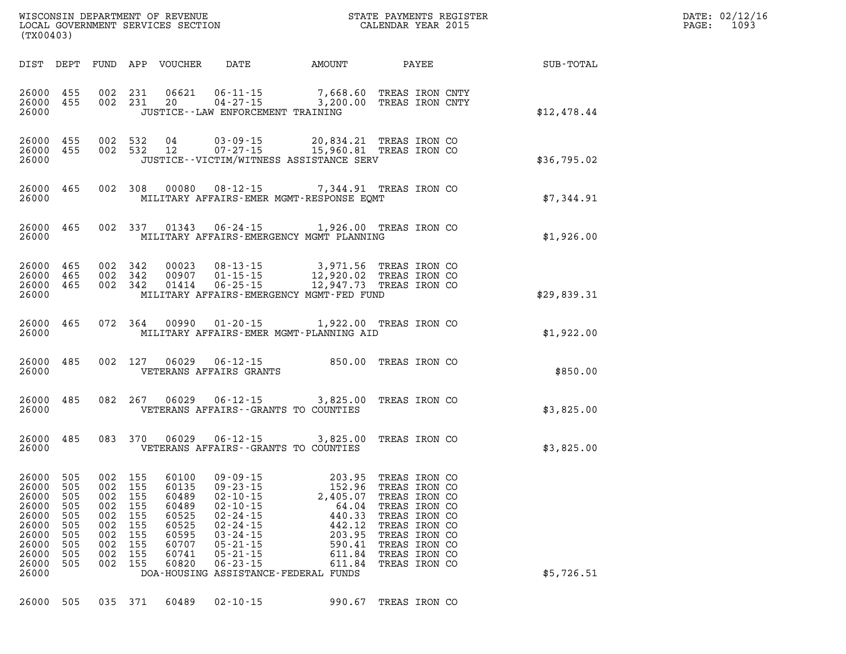| DATE: | 02/12/16 |
|-------|----------|
| PAGE: | 1093     |

| LOCAL GOVERNMENT SERVICE |  |
|--------------------------|--|
|                          |  |
| (TX00403)                |  |

| DIST                                                                                            | DEPT                                                               | FUND                                                               | APP                                                                | VOUCHER                                                                                | DATE                                                                                                                                                                         | <b>AMOUNT</b>                                                                                                                             |                                                                                                                                                                        | PAYEE | SUB-TOTAL   |
|-------------------------------------------------------------------------------------------------|--------------------------------------------------------------------|--------------------------------------------------------------------|--------------------------------------------------------------------|----------------------------------------------------------------------------------------|------------------------------------------------------------------------------------------------------------------------------------------------------------------------------|-------------------------------------------------------------------------------------------------------------------------------------------|------------------------------------------------------------------------------------------------------------------------------------------------------------------------|-------|-------------|
| 26000<br>26000<br>26000                                                                         | 455<br>455                                                         | 002<br>002                                                         | 231<br>231                                                         | 06621<br>20                                                                            | JUSTICE - - LAW ENFORCEMENT TRAINING                                                                                                                                         | 06-11-15 7,668.60<br>04-27-15 3,200.00                                                                                                    | TREAS IRON CNTY<br>TREAS IRON CNTY                                                                                                                                     |       | \$12,478.44 |
| 26000<br>26000<br>26000                                                                         | 455<br>455                                                         | 002<br>002                                                         | 532<br>532                                                         | 04<br>12                                                                               | $03 - 09 - 15$<br>$07 - 27 - 15$                                                                                                                                             | 20,834.21<br>15,960.81<br>JUSTICE--VICTIM/WITNESS ASSISTANCE SERV                                                                         | TREAS IRON CO<br>TREAS IRON CO                                                                                                                                         |       | \$36,795.02 |
| 26000<br>26000                                                                                  | 465                                                                | 002                                                                | 308                                                                | 00080                                                                                  | $08 - 12 - 15$                                                                                                                                                               | 7,344.91<br>MILITARY AFFAIRS-EMER MGMT-RESPONSE EOMT                                                                                      | TREAS IRON CO                                                                                                                                                          |       | \$7,344.91  |
| 26000<br>26000                                                                                  | 465                                                                | 002                                                                | 337                                                                | 01343                                                                                  | $06 - 24 - 15$                                                                                                                                                               | 1,926.00 TREAS IRON CO<br>MILITARY AFFAIRS-EMERGENCY MGMT PLANNING                                                                        |                                                                                                                                                                        |       | \$1,926.00  |
| 26000<br>26000<br>26000<br>26000                                                                | 465<br>465<br>465                                                  | 002<br>002<br>002                                                  | 342<br>342<br>342                                                  | 00023<br>00907<br>01414                                                                | $08 - 13 - 15$<br>$01 - 15 - 15$<br>$06 - 25 - 15$                                                                                                                           | 3,971.56<br>12,920.02<br>12,947.73<br>MILITARY AFFAIRS-EMERGENCY MGMT-FED FUND                                                            | TREAS IRON CO<br>TREAS IRON CO<br>TREAS IRON CO                                                                                                                        |       | \$29,839.31 |
| 26000<br>26000                                                                                  | 465                                                                | 072                                                                | 364                                                                | 00990                                                                                  | $01 - 20 - 15$                                                                                                                                                               | 1,922.00<br>MILITARY AFFAIRS-EMER MGMT-PLANNING AID                                                                                       | TREAS IRON CO                                                                                                                                                          |       | \$1,922.00  |
| 26000<br>26000                                                                                  | 485                                                                | 002                                                                | 127                                                                | 06029                                                                                  | $06 - 12 - 15$<br>VETERANS AFFAIRS GRANTS                                                                                                                                    | 850.00                                                                                                                                    | TREAS IRON CO                                                                                                                                                          |       | \$850.00    |
| 26000<br>26000                                                                                  | 485                                                                | 082                                                                | 267                                                                | 06029                                                                                  | $06 - 12 - 15$                                                                                                                                                               | 3,825.00<br>VETERANS AFFAIRS - - GRANTS TO COUNTIES                                                                                       | TREAS IRON CO                                                                                                                                                          |       | \$3,825.00  |
| 26000<br>26000                                                                                  | 485                                                                | 083                                                                | 370                                                                | 06029                                                                                  | $06 - 12 - 15$                                                                                                                                                               | 3,825.00<br>VETERANS AFFAIRS - - GRANTS TO COUNTIES                                                                                       | TREAS IRON CO                                                                                                                                                          |       | \$3,825.00  |
| 26000<br>26000<br>26000<br>26000<br>26000<br>26000<br>26000<br>26000<br>26000<br>26000<br>26000 | 505<br>505<br>505<br>505<br>505<br>505<br>505<br>505<br>505<br>505 | 002<br>002<br>002<br>002<br>002<br>002<br>002<br>002<br>002<br>002 | 155<br>155<br>155<br>155<br>155<br>155<br>155<br>155<br>155<br>155 | 60100<br>60135<br>60489<br>60489<br>60525<br>60525<br>60595<br>60707<br>60741<br>60820 | $09 - 09 - 15$<br>$09 - 23 - 15$<br>$02 - 10 - 15$<br>$02 - 10 - 15$<br>$02 - 24 - 15$<br>$02 - 24 - 15$<br>03 - 24 - 15<br>05 - 21 - 15<br>$05 - 21 - 15$<br>$06 - 23 - 15$ | 203.95<br>152.96<br>2,405.07<br>64.04<br>440.33<br>442.12<br>203.95<br>590.41<br>611.84<br>611.84<br>DOA-HOUSING ASSISTANCE-FEDERAL FUNDS | TREAS IRON CO<br>TREAS IRON CO<br>TREAS IRON CO<br>TREAS IRON CO<br>TREAS IRON CO<br>TREAS IRON CO<br>TREAS IRON CO<br>TREAS IRON CO<br>TREAS IRON CO<br>TREAS IRON CO |       | \$5,726.51  |
| 26000                                                                                           | 505                                                                | 035                                                                | 371                                                                | 60489                                                                                  | $02 - 10 - 15$                                                                                                                                                               | 990.67                                                                                                                                    | TREAS IRON CO                                                                                                                                                          |       |             |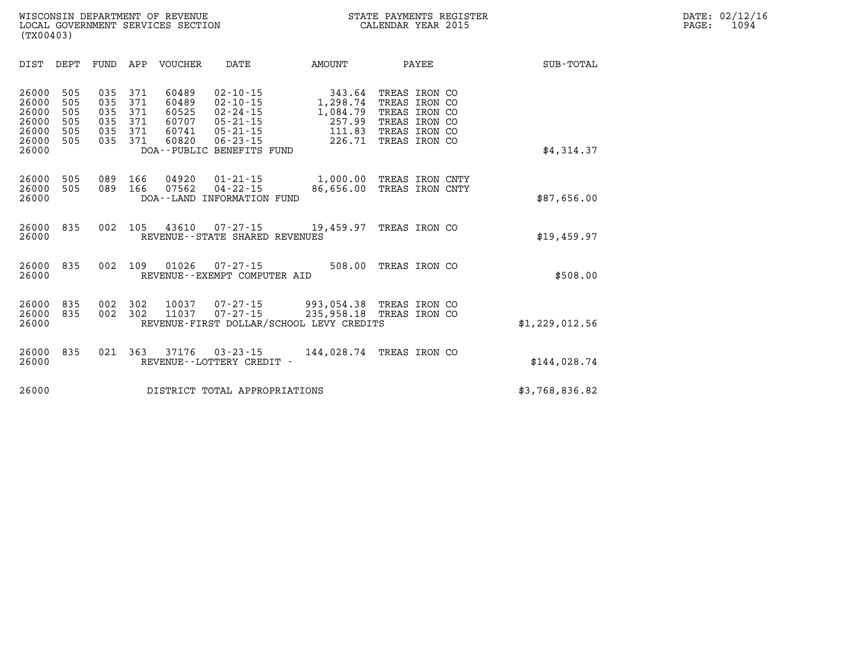| DIST                                                        | DEPT                                   | FUND                                   | APP                                    | <b>VOUCHER</b>                                     | DATE                                                                                                                                  | <b>AMOUNT</b>                                                        |                                                                                                    | PAYEE | SUB-TOTAL      |
|-------------------------------------------------------------|----------------------------------------|----------------------------------------|----------------------------------------|----------------------------------------------------|---------------------------------------------------------------------------------------------------------------------------------------|----------------------------------------------------------------------|----------------------------------------------------------------------------------------------------|-------|----------------|
| 26000<br>26000<br>26000<br>26000<br>26000<br>26000<br>26000 | 505<br>505<br>505<br>505<br>505<br>505 | 035<br>035<br>035<br>035<br>035<br>035 | 371<br>371<br>371<br>371<br>371<br>371 | 60489<br>60489<br>60525<br>60707<br>60741<br>60820 | $02 - 10 - 15$<br>$02 - 10 - 15$<br>$02 - 24 - 15$<br>$05 - 21 - 15$<br>$05 - 21 - 15$<br>$06 - 23 - 15$<br>DOA--PUBLIC BENEFITS FUND | 343.64<br>1,298.74<br>1,084.79<br>257.99<br>111.83<br>226.71         | TREAS IRON CO<br>TREAS IRON CO<br>TREAS IRON CO<br>TREAS IRON CO<br>TREAS IRON CO<br>TREAS IRON CO |       | \$4,314.37     |
| 26000<br>26000<br>26000                                     | 505<br>505                             | 089<br>089                             | 166<br>166                             | 04920<br>07562                                     | $01 - 21 - 15$<br>$04 - 22 - 15$<br>DOA--LAND INFORMATION FUND                                                                        | 1,000.00<br>86,656.00                                                | TREAS IRON CNTY<br>TREAS IRON CNTY                                                                 |       | \$87,656.00    |
| 26000<br>26000                                              | 835                                    | 002                                    | 105                                    | 43610                                              | 07-27-15<br>REVENUE--STATE SHARED REVENUES                                                                                            | 19,459.97                                                            | TREAS IRON CO                                                                                      |       | \$19,459.97    |
| 26000<br>26000                                              | 835                                    | 002                                    | 109                                    | 01026                                              | $07 - 27 - 15$<br>REVENUE - - EXEMPT COMPUTER AID                                                                                     | 508.00                                                               | TREAS IRON CO                                                                                      |       | \$508.00       |
| 26000<br>26000<br>26000                                     | 835<br>835                             | 002<br>002                             | 302<br>302                             | 10037<br>11037                                     | $07 - 27 - 15$<br>$07 - 27 - 15$                                                                                                      | 993,054.38<br>235,958.18<br>REVENUE-FIRST DOLLAR/SCHOOL LEVY CREDITS | TREAS IRON CO<br>TREAS IRON CO                                                                     |       | \$1,229,012.56 |
| 26000<br>26000                                              | 835                                    | 021                                    | 363                                    | 37176                                              | $03 - 23 - 15$<br>REVENUE - - LOTTERY CREDIT -                                                                                        | 144,028.74                                                           | TREAS IRON CO                                                                                      |       | \$144,028.74   |
| 26000                                                       |                                        |                                        |                                        |                                                    | DISTRICT TOTAL APPROPRIATIONS                                                                                                         |                                                                      |                                                                                                    |       | \$3,768,836.82 |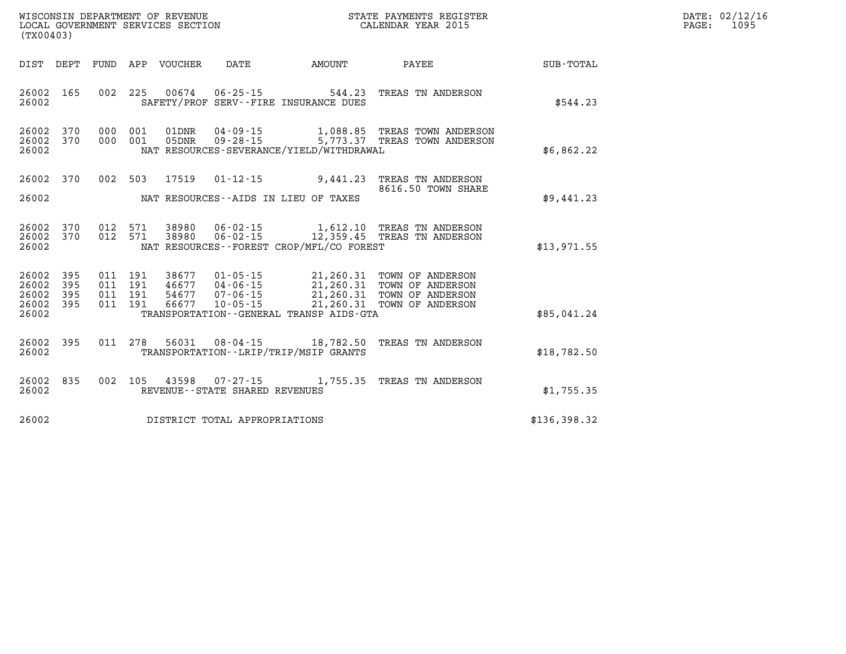| WISCONSIN DEPARTMENT OF REVENUE   | 3 ТА ТЕ. | PAYMENTS REGISTER  | DATE: | 02/12/16 |
|-----------------------------------|----------|--------------------|-------|----------|
| LOCAL GOVERNMENT SERVICES SECTION |          | CALENDAR YEAR 2015 | PAGE: | 109!     |

| (TX00403)                                 |                          |                          |                          |                                  |                                                                                                                 |                                                  |                                                                              |                  |
|-------------------------------------------|--------------------------|--------------------------|--------------------------|----------------------------------|-----------------------------------------------------------------------------------------------------------------|--------------------------------------------------|------------------------------------------------------------------------------|------------------|
| DIST                                      | DEPT                     | <b>FUND</b>              | APP                      | VOUCHER                          | <b>DATE</b>                                                                                                     | AMOUNT                                           | PAYEE                                                                        | <b>SUB-TOTAL</b> |
| 26002<br>26002                            | 165                      | 002                      | 225                      | 00674                            | $06 - 25 - 15$<br>SAFETY/PROF SERV--FIRE INSURANCE DUES                                                         | 544.23                                           | TREAS TN ANDERSON                                                            | \$544.23         |
| 26002<br>26002<br>26002                   | 370<br>370               | 000<br>000               | 001<br>001               | 01DNR<br>05DNR                   | 04-09-15<br>$09 - 28 - 15$<br>NAT RESOURCES-SEVERANCE/YIELD/WITHDRAWAL                                          | 1,088.85<br>5,773.37                             | TREAS TOWN ANDERSON<br>TREAS TOWN ANDERSON                                   | \$6,862.22       |
| 26002<br>26002                            | 370                      | 002                      | 503                      | 17519                            | $01 - 12 - 15$<br>NAT RESOURCES -- AIDS IN LIEU OF TAXES                                                        | 9,441.23                                         | TREAS TN ANDERSON<br>8616.50 TOWN SHARE                                      | \$9,441.23       |
| 26002<br>26002<br>26002                   | 370<br>370               | 012<br>012               | 571<br>571               | 38980                            | 38980 06-02-15<br>$06 - 02 - 15$<br>NAT RESOURCES - - FOREST CROP/MFL/CO FOREST                                 | 1,612.10<br>12,359.45                            | TREAS TN ANDERSON<br>TREAS TN ANDERSON                                       | \$13,971.55      |
| 26002<br>26002<br>26002<br>26002<br>26002 | 395<br>395<br>395<br>395 | 011<br>011<br>011<br>011 | 191<br>191<br>191<br>191 | 38677<br>46677<br>54677<br>66677 | $01 - 05 - 15$<br>$04 - 06 - 15$<br>$07 - 06 - 15$<br>$10 - 05 - 15$<br>TRANSPORTATION--GENERAL TRANSP AIDS-GTA | 21,260.31<br>21,260.31<br>21,260.31<br>21,260.31 | TOWN OF ANDERSON<br>TOWN OF ANDERSON<br>TOWN OF ANDERSON<br>TOWN OF ANDERSON | \$85,041.24      |
| 26002<br>26002                            | 395                      | 011                      | 278                      | 56031                            | $08 - 04 - 15$<br>TRANSPORTATION - - LRIP/TRIP/MSIP GRANTS                                                      | 18,782.50                                        | TREAS TN ANDERSON                                                            | \$18,782.50      |
| 26002<br>26002                            | 835                      | 002                      | 105                      | 43598                            | $07 - 27 - 15$<br>REVENUE - - STATE SHARED REVENUES                                                             |                                                  | 1,755.35 TREAS TN ANDERSON                                                   | \$1,755.35       |
| 26002                                     |                          |                          |                          |                                  | DISTRICT TOTAL APPROPRIATIONS                                                                                   |                                                  |                                                                              | \$136,398.32     |

WISCONSIN DEPARTMENT OF REVENUE **STATE PAYMENTS REGISTER**<br>LOCAL GOVERNMENT SERVICES SECTION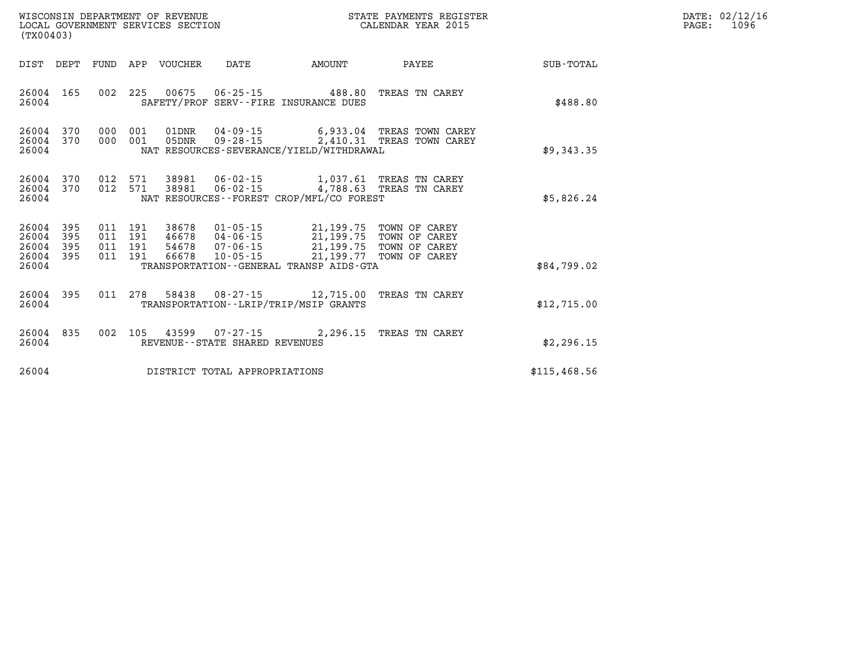| (TX00403)                                 |                          |                               |         | LOCAL GOVERNMENT SERVICES SECTION | WISCONSIN DEPARTMENT OF REVENUE   |                                                                                                                                                                                                                             | STATE PAYMENTS REGISTER<br>CALENDAR YEAR 2015                                             |              | DATE: 02/12/16<br>$\mathtt{PAGE}$ :<br>1096 |
|-------------------------------------------|--------------------------|-------------------------------|---------|-----------------------------------|-----------------------------------|-----------------------------------------------------------------------------------------------------------------------------------------------------------------------------------------------------------------------------|-------------------------------------------------------------------------------------------|--------------|---------------------------------------------|
|                                           |                          |                               |         | DIST DEPT FUND APP VOUCHER DATE   |                                   | AMOUNT                                                                                                                                                                                                                      | PAYEE                                                                                     | SUB-TOTAL    |                                             |
| 26004                                     |                          |                               |         |                                   |                                   | 26004 165 002 225 00675 06-25-15 488.80 TREAS TN CAREY<br>SAFETY/PROF SERV--FIRE INSURANCE DUES                                                                                                                             |                                                                                           | \$488.80     |                                             |
| 26004<br>26004                            | 26004 370 000 001<br>370 | 000 001                       |         |                                   |                                   | NAT RESOURCES-SEVERANCE/YIELD/WITHDRAWAL                                                                                                                                                                                    | 01DNR  04-09-15   6,933.04 TREAS TOWN CAREY<br>05DNR  09-28-15  2,410.31 TREAS TOWN CAREY | \$9,343.35   |                                             |
| 26004                                     | 26004 370                |                               |         |                                   |                                   | 26004 370 012 571 38981 06-02-15 1,037.61 TREAS TN CAREY<br>012 571 38981 06-02-15 4,788.63 TREAS TN CAREY<br>NAT RESOURCES -- FOREST CROP/MFL/CO FOREST                                                                    |                                                                                           | \$5,826.24   |                                             |
| 26004<br>26004<br>26004<br>26004<br>26004 | 395<br>395<br>395<br>395 | 011 191<br>011 191<br>011 191 | 011 191 |                                   |                                   | 38678  01-05-15  21,199.75  TOWN OF CAREY<br>46678  04-06-15  21,199.75  TOWN OF CAREY<br>54678  07-06-15  21,199.75  TOWN OF CAREY<br>66678  10-05-15  21,199.77  TOWN OF CAREY<br>TRANSPORTATION--GENERAL TRANSP AIDS-GTA |                                                                                           | \$84,799.02  |                                             |
| 26004                                     | 26004 395                |                               |         |                                   |                                   | 011  278  58438  08-27-15  12,715.00 TREAS TN CAREY<br>TRANSPORTATION - - LRIP/TRIP/MSIP GRANTS                                                                                                                             |                                                                                           | \$12,715.00  |                                             |
| 26004                                     | 26004 835                |                               |         |                                   | REVENUE - - STATE SHARED REVENUES | 002 105 43599 07-27-15 2,296.15 TREAS TN CAREY                                                                                                                                                                              |                                                                                           | \$2,296.15   |                                             |
| 26004                                     |                          |                               |         |                                   | DISTRICT TOTAL APPROPRIATIONS     |                                                                                                                                                                                                                             |                                                                                           | \$115,468.56 |                                             |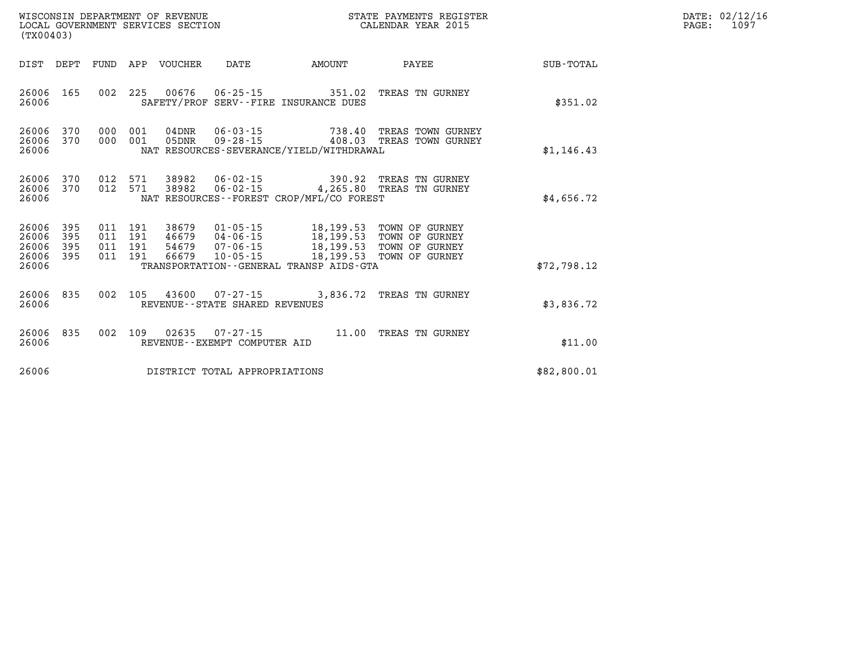| (TX00403)                                     |                        |                                          |       |                                |                                          | STATE PAYMENTS REGISTER                                                                                                                                                              |             | DATE: 02/12/16<br>PAGE:<br>1097 |
|-----------------------------------------------|------------------------|------------------------------------------|-------|--------------------------------|------------------------------------------|--------------------------------------------------------------------------------------------------------------------------------------------------------------------------------------|-------------|---------------------------------|
|                                               |                        |                                          |       |                                | DIST DEPT FUND APP VOUCHER DATE AMOUNT   | <b>PAYEE</b>                                                                                                                                                                         | SUB-TOTAL   |                                 |
| 26006 165<br>26006                            |                        |                                          |       |                                | SAFETY/PROF SERV--FIRE INSURANCE DUES    | 002 225 00676 06-25-15 351.02 TREAS TN GURNEY                                                                                                                                        | \$351.02    |                                 |
| 26006                                         | 26006 370<br>26006 370 | 000 001<br>000 001                       | 05DNR |                                | NAT RESOURCES-SEVERANCE/YIELD/WITHDRAWAL | 09-28-15 408.03 TREAS TOWN GURNEY                                                                                                                                                    | \$1,146.43  |                                 |
| 26006                                         | 26006 370<br>26006 370 | 012 571                                  |       |                                | NAT RESOURCES--FOREST CROP/MFL/CO FOREST | 012 571 38982 06-02-15 390.92 TREAS TN GURNEY<br>38982  06-02-15  4,265.80  TREAS TN GURNEY                                                                                          | \$4,656.72  |                                 |
| 26006<br>26006<br>26006<br>26006 395<br>26006 | 395<br>395<br>395      | 011 191<br>011 191<br>011 191<br>011 191 |       |                                | TRANSPORTATION--GENERAL TRANSP AIDS-GTA  | 38679  01-05-15  18,199.53  TOWN OF GURNEY<br>46679  04-06-15  18,199.53  TOWN OF GURNEY<br>54679  07-06-15  18,199.53  TOWN OF GURNEY<br>66679  10-05-15  18,199.53  TOWN OF GURNEY | \$72,798.12 |                                 |
| 26006 835<br>26006                            |                        |                                          |       | REVENUE--STATE SHARED REVENUES |                                          | 002 105 43600 07-27-15 3,836.72 TREAS TN GURNEY                                                                                                                                      | \$3,836.72  |                                 |
| 26006 835<br>26006                            |                        |                                          |       | REVENUE--EXEMPT COMPUTER AID   |                                          | 002 109 02635 07-27-15 11.00 TREAS TN GURNEY                                                                                                                                         | \$11.00     |                                 |
| 26006                                         |                        |                                          |       | DISTRICT TOTAL APPROPRIATIONS  |                                          |                                                                                                                                                                                      | \$82,800.01 |                                 |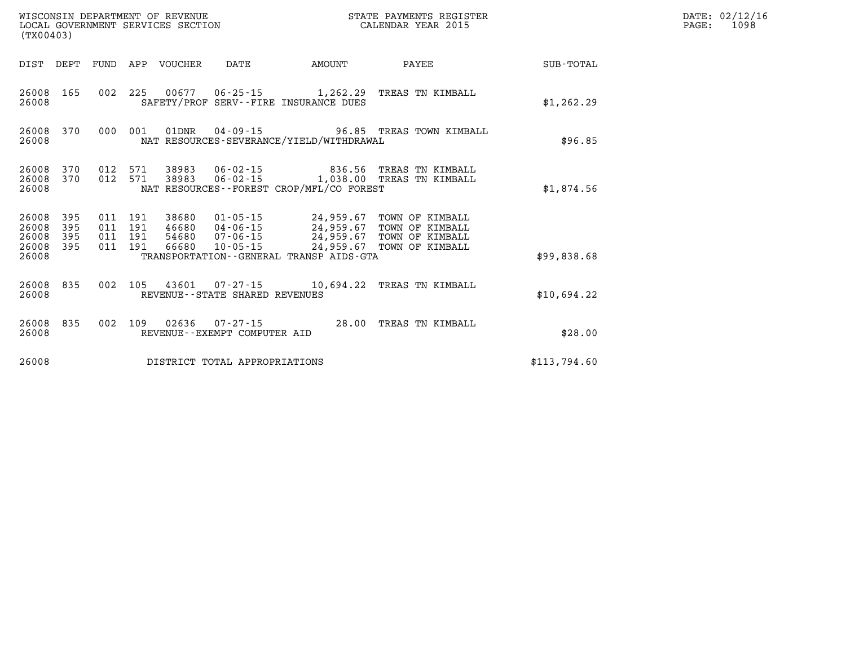| (TX00403)                                         |            |  |                                 |                                |                                             | ${\tt WISCOONSIM} \begin{tabular}{lcccc} {\tt WISCOONSIM} \end{tabular} \begin{tabular}{lcccc} {\tt NUCONSIN} \end{tabular} \begin{tabular}{lcccc} {\tt NUCAL} \end{tabular} \begin{tabular}{lcccc} {\tt NUCAL} \end{tabular} \begin{tabular}{lcccc} {\tt NUCAL} \end{tabular} \begin{tabular}{lcccc} {\tt NUCAL} \end{tabular} \end{tabular} \begin{tabular}{lcccc} {\tt NUCAL} \end{tabular} \begin{tabular}{lcccc} {\tt NUCAL} \end{tabular} \end{tabular} \begin{tabular}{lcccc} {\tt NUCAL} \end{tabular} \begin{tabular}{lcccc}$<br>STATE PAYMENTS REGISTER |              | DATE: 02/12/16<br>PAGE: 1098 |
|---------------------------------------------------|------------|--|---------------------------------|--------------------------------|---------------------------------------------|-------------------------------------------------------------------------------------------------------------------------------------------------------------------------------------------------------------------------------------------------------------------------------------------------------------------------------------------------------------------------------------------------------------------------------------------------------------------------------------------------------------------------------------------------------------------|--------------|------------------------------|
|                                                   |            |  | DIST DEPT FUND APP VOUCHER DATE |                                | AMOUNT                                      | PAYEE                                                                                                                                                                                                                                                                                                                                                                                                                                                                                                                                                             | SUB-TOTAL    |                              |
| 26008 165<br>26008                                |            |  |                                 |                                | SAFETY/PROF SERV--FIRE INSURANCE DUES       | 002 225 00677 06-25-15 1,262.29 TREAS TN KIMBALL                                                                                                                                                                                                                                                                                                                                                                                                                                                                                                                  | \$1,262.29   |                              |
| 26008 370<br>26008                                |            |  |                                 |                                | NAT RESOURCES-SEVERANCE/YIELD/WITHDRAWAL    | 000 001 01DNR 04-09-15 96.85 TREAS TOWN KIMBALL                                                                                                                                                                                                                                                                                                                                                                                                                                                                                                                   | \$96.85      |                              |
| 26008 370<br>26008 370<br>26008                   |            |  |                                 |                                | NAT RESOURCES - - FOREST CROP/MFL/CO FOREST | 012 571 38983 06-02-15 836.56 TREAS TN KIMBALL<br>012 571 38983 06-02-15 1,038.00 TREAS TN KIMBALL                                                                                                                                                                                                                                                                                                                                                                                                                                                                | \$1,874.56   |                              |
| 26008 395<br>26008<br>26008<br>26008 395<br>26008 | 395<br>395 |  |                                 |                                | TRANSPORTATION--GENERAL TRANSP AIDS-GTA     | $\begin{array}{cccc} 011 & 191 & 38680 & 01\cdot 05\cdot 15 & 24\,, 959\,.67 & \textrm{TOWN OF KIMBALL} \\ 011 & 191 & 46680 & 04\cdot 06\cdot 15 & 24\,, 959\,.67 & \textrm{TOWN OF KIMBALL} \\ 011 & 191 & 54680 & 07\cdot 06\cdot 15 & 24\,, 959\,.67 & \textrm{TOWN OF KIMBALL} \\ 011 & 191 & 66680 & 10\cdot 05\cdot 15 & 24\,, 9$                                                                                                                                                                                                                          | \$99,838.68  |                              |
| 26008 835<br>26008                                |            |  |                                 | REVENUE--STATE SHARED REVENUES |                                             | 002 105 43601 07-27-15 10,694.22 TREAS TN KIMBALL                                                                                                                                                                                                                                                                                                                                                                                                                                                                                                                 | \$10,694.22  |                              |
| 26008<br>26008                                    | 835        |  |                                 | REVENUE--EXEMPT COMPUTER AID   |                                             | 002 109 02636 07-27-15 28.00 TREAS TN KIMBALL                                                                                                                                                                                                                                                                                                                                                                                                                                                                                                                     | \$28.00      |                              |
| 26008                                             |            |  |                                 | DISTRICT TOTAL APPROPRIATIONS  |                                             |                                                                                                                                                                                                                                                                                                                                                                                                                                                                                                                                                                   | \$113,794.60 |                              |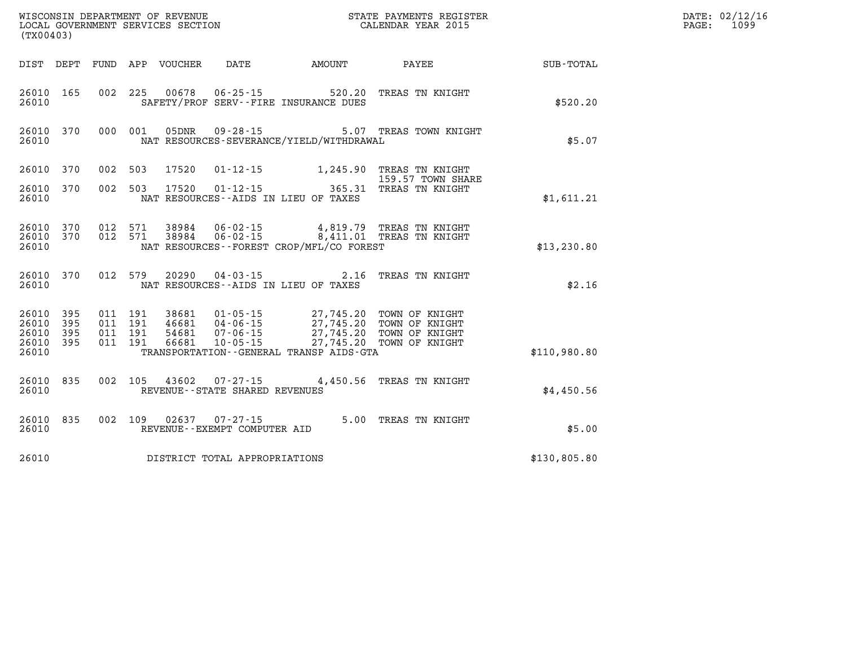|       | DATE: 02/12/16 |
|-------|----------------|
| PAGE: | 1099           |

| (TX00403)                                 |                          |                          |                          | WISCONSIN DEPARTMENT OF REVENUE<br>LOCAL GOVERNMENT SERVICES SECTION |                                                                  |                                                                                             | STATE PAYMENTS REGISTER<br>CALENDAR YEAR 2015                        |              |
|-------------------------------------------|--------------------------|--------------------------|--------------------------|----------------------------------------------------------------------|------------------------------------------------------------------|---------------------------------------------------------------------------------------------|----------------------------------------------------------------------|--------------|
| DIST                                      | DEPT                     | FUND                     | APP                      |                                                                      |                                                                  | VOUCHER DATE AMOUNT                                                                         | PAYEE                                                                | SUB-TOTAL    |
| 26010<br>26010                            | 165                      | 002                      | 225                      | 00678                                                                | $06 - 25 - 15$                                                   | 520.20<br>SAFETY/PROF SERV--FIRE INSURANCE DUES                                             | TREAS TN KNIGHT                                                      | \$520.20     |
| 26010<br>26010                            | 370                      | 000                      | 001                      | 05DNR                                                                | $09 - 28 - 15$                                                   | NAT RESOURCES-SEVERANCE/YIELD/WITHDRAWAL                                                    | 5.07 TREAS TOWN KNIGHT                                               | \$5.07       |
| 26010                                     | 370                      | 002                      | 503                      | 17520                                                                |                                                                  | $01 - 12 - 15$ 1, 245.90                                                                    | TREAS TN KNIGHT<br>159.57 TOWN SHARE                                 |              |
| 26010<br>26010                            | 370                      | 002                      | 503                      | 17520                                                                | $01 - 12 - 15$                                                   | 365.31<br>NAT RESOURCES -- AIDS IN LIEU OF TAXES                                            | TREAS TN KNIGHT                                                      | \$1,611.21   |
| 26010<br>26010<br>26010                   | 370<br>370               | 012<br>012               | 571<br>571               | 38984<br>38984                                                       | $06 - 02 - 15$<br>$06 - 02 - 15$                                 | 4,819.79<br>NAT RESOURCES - - FOREST CROP/MFL/CO FOREST                                     | TREAS TN KNIGHT<br>8,411.01 TREAS TN KNIGHT                          | \$13, 230.80 |
| 26010<br>26010                            | 370                      | 012                      | 579                      | 20290                                                                | $04 - 03 - 15$                                                   | 2.16<br>NAT RESOURCES -- AIDS IN LIEU OF TAXES                                              | TREAS TN KNIGHT                                                      | \$2.16       |
| 26010<br>26010<br>26010<br>26010<br>26010 | 395<br>395<br>395<br>395 | 011<br>011<br>011<br>011 | 191<br>191<br>191<br>191 | 38681<br>46681<br>54681<br>66681                                     | $01 - 05 - 15$<br>04 - 06 - 15<br>07 - 06 - 15<br>$10 - 05 - 15$ | 27,745.20<br>27,745.20<br>27,745.20<br>27,745.20<br>TRANSPORTATION--GENERAL TRANSP AIDS-GTA | TOWN OF KNIGHT<br>TOWN OF KNIGHT<br>TOWN OF KNIGHT<br>TOWN OF KNIGHT | \$110,980.80 |
| 26010<br>26010                            | 835                      | 002                      | 105                      | 43602                                                                | $07 - 27 - 15$<br>REVENUE - - STATE SHARED REVENUES              | 4,450.56                                                                                    | TREAS TN KNIGHT                                                      | \$4,450.56   |
| 26010<br>26010                            | 835                      | 002                      | 109                      | 02637                                                                | $07 - 27 - 15$<br>REVENUE--EXEMPT COMPUTER AID                   | 5.00                                                                                        | TREAS TN KNIGHT                                                      | \$5.00       |
| 26010                                     |                          |                          |                          |                                                                      | DISTRICT TOTAL APPROPRIATIONS                                    |                                                                                             |                                                                      | \$130,805.80 |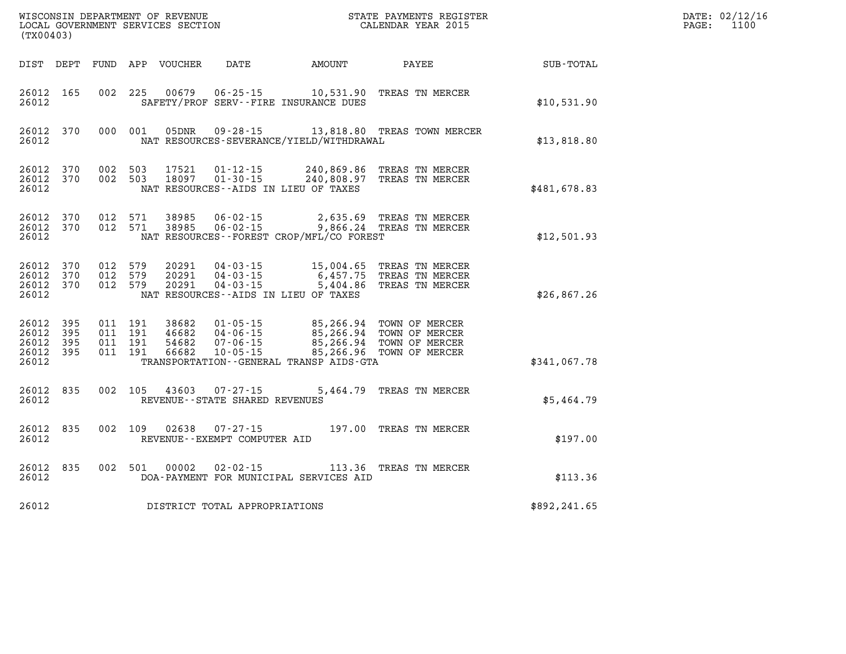|                                          | (TX00403)               |                                          |         |                                  |                                                        |                                             |                                                                                                     |              | DATE: 02/12/16<br>$\mathtt{PAGE:}$<br>1100 |
|------------------------------------------|-------------------------|------------------------------------------|---------|----------------------------------|--------------------------------------------------------|---------------------------------------------|-----------------------------------------------------------------------------------------------------|--------------|--------------------------------------------|
|                                          |                         |                                          |         | DIST DEPT FUND APP VOUCHER       | DATE                                                   | AMOUNT                                      | PAYEE                                                                                               | SUB-TOTAL    |                                            |
| 26012 165<br>26012                       |                         | 002 225                                  |         | 00679                            |                                                        | SAFETY/PROF SERV--FIRE INSURANCE DUES       | 06-25-15 10,531.90 TREAS TN MERCER                                                                  | \$10,531.90  |                                            |
| 26012                                    | 26012 370               |                                          | 000 001 | 05DNR                            |                                                        | NAT RESOURCES-SEVERANCE/YIELD/WITHDRAWAL    | 09-28-15 13,818.80 TREAS TOWN MERCER                                                                | \$13,818.80  |                                            |
| 26012 370<br>26012 370<br>26012          |                         | 002 503<br>002 503                       |         | 17521<br>18097                   | 01-12-15<br>$01 - 30 - 15$                             | NAT RESOURCES -- AIDS IN LIEU OF TAXES      | 240,869.86 TREAS TN MERCER<br>240,808.97 TREAS TN MERCER                                            | \$481,678.83 |                                            |
| 26012 370<br>26012 370<br>26012          |                         | 012 571<br>012 571                       |         |                                  |                                                        | NAT RESOURCES - - FOREST CROP/MFL/CO FOREST | 38985  06-02-15  2,635.69  TREAS TN MERCER<br>38985  06-02-15  9,866.24  TREAS TN MERCER            | \$12,501.93  |                                            |
| 26012 370<br>26012<br>26012 370<br>26012 | 370                     | 012 579<br>012 579<br>012 579            |         | 20291<br>20291<br>20291          | $04 - 03 - 15$                                         | NAT RESOURCES - AIDS IN LIEU OF TAXES       | 15,004.65 TREAS TN MERCER<br>04-03-15 6,457.75 TREAS TN MERCER<br>04-03-15 5,404.86 TREAS TN MERCER | \$26,867.26  |                                            |
| 26012 395<br>26012<br>26012<br>26012     | 395<br>395<br>26012 395 | 011 191<br>011 191<br>011 191<br>011 191 |         | 38682<br>46682<br>54682<br>66682 | $10 - 05 - 15$                                         | TRANSPORTATION--GENERAL TRANSP AIDS-GTA     | 01-05-15 85,266.94 TOWN OF MERCER<br>85,266.96 TOWN OF MERCER                                       | \$341,067.78 |                                            |
| 26012 835<br>26012                       |                         | 002 105                                  |         |                                  | REVENUE--STATE SHARED REVENUES                         |                                             | 5,464.79 TREAS TN MERCER                                                                            | \$5.464.79   |                                            |
| 26012 835<br>26012                       |                         |                                          | 002 109 |                                  | $02638$ $07 - 27 - 15$<br>REVENUE--EXEMPT COMPUTER AID |                                             | 197.00 TREAS TN MERCER                                                                              | \$197.00     |                                            |
| 26012 835<br>26012                       |                         |                                          |         | 002 501 00002                    |                                                        | DOA-PAYMENT FOR MUNICIPAL SERVICES AID      | 02-02-15 113.36 TREAS TN MERCER                                                                     | \$113.36     |                                            |
| 26012                                    |                         |                                          |         |                                  | DISTRICT TOTAL APPROPRIATIONS                          |                                             |                                                                                                     | \$892,241.65 |                                            |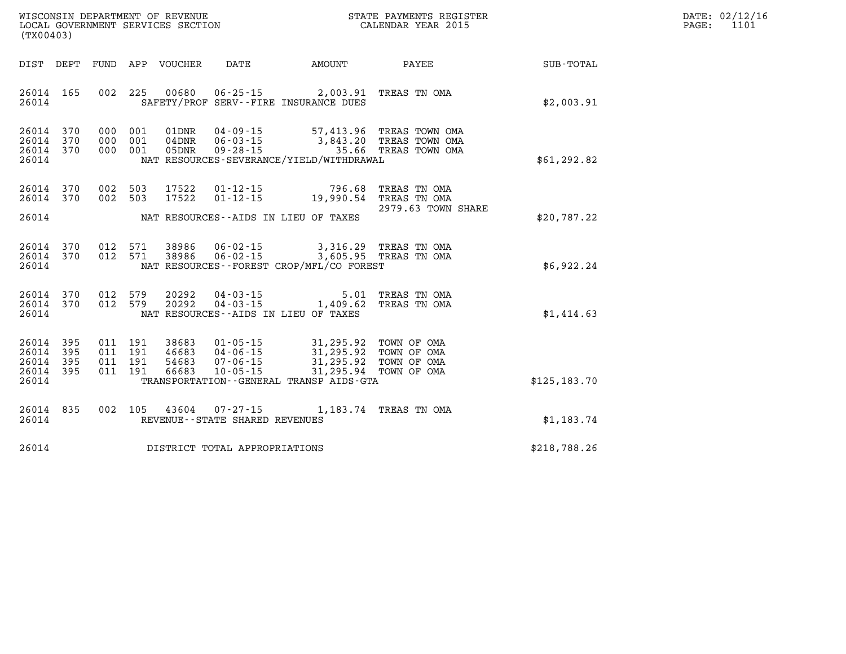| $\mathtt{DATE}$ : | 02/12/16 |
|-------------------|----------|
| PAGE:             | 1101     |

| (TX00403)                                                             |                          |                                                              |                                                                      |                                                                                                  |                                                          |                  |
|-----------------------------------------------------------------------|--------------------------|--------------------------------------------------------------|----------------------------------------------------------------------|--------------------------------------------------------------------------------------------------|----------------------------------------------------------|------------------|
| DIST<br>DEPT                                                          | FUND                     | APP VOUCHER                                                  | DATE                                                                 | AMOUNT                                                                                           | PAYEE                                                    | <b>SUB-TOTAL</b> |
| 165<br>26014<br>26014                                                 | 002                      | 225<br>00680                                                 | SAFETY/PROF SERV--FIRE INSURANCE DUES                                | $06 - 25 - 15$ 2,003.91                                                                          | TREAS TN OMA                                             | \$2,003.91       |
| 26014<br>370<br>26014<br>370<br>370<br>26014<br>26014                 | 000<br>000<br>000        | 001<br>01DNR<br>001<br>$04$ DNR<br>001<br>05DNR              | $04 - 09 - 15$<br>$06 - 03 - 15$<br>$09 - 28 - 15$                   | 57,413.96<br>3,843.20<br>35.66<br>NAT RESOURCES-SEVERANCE/YIELD/WITHDRAWAL                       | TREAS TOWN OMA<br>TREAS TOWN OMA<br>TREAS TOWN OMA       | \$61, 292.82     |
| 26014<br>370<br>26014<br>370                                          | 002<br>002               | 503<br>17522<br>503<br>17522                                 | $01 - 12 - 15$<br>$01 - 12 - 15$                                     | 796.68<br>19,990.54                                                                              | TREAS TN OMA<br>TREAS TN OMA<br>2979.63 TOWN SHARE       |                  |
| 26014                                                                 |                          |                                                              | NAT RESOURCES--AIDS IN LIEU OF TAXES                                 |                                                                                                  |                                                          | \$20,787.22      |
| 26014<br>370<br>26014<br>370<br>26014                                 | 012<br>012               | 38986<br>571<br>571<br>38986                                 | $06 - 02 - 15$<br>$06 - 02 - 15$                                     | 3,316.29 TREAS TN OMA<br>3,605.95<br>NAT RESOURCES - - FOREST CROP/MFL/CO FOREST                 | TREAS TN OMA                                             | \$6,922.24       |
| 26014<br>370<br>26014<br>370<br>26014                                 | 012<br>012               | 579<br>20292<br>579<br>20292                                 | $04 - 03 - 15$<br>NAT RESOURCES--AIDS IN LIEU OF TAXES               | 5.01<br>$04 - 03 - 15$ 1,409.62                                                                  | TREAS TN OMA<br>TREAS TN OMA                             | \$1,414.63       |
| 395<br>26014<br>26014<br>395<br>26014<br>395<br>26014<br>395<br>26014 | 011<br>011<br>011<br>011 | 38683<br>191<br>191<br>46683<br>191<br>54683<br>191<br>66683 | $01 - 05 - 15$<br>$04 - 06 - 15$<br>$07 - 06 - 15$<br>$10 - 05 - 15$ | 31,295.92<br>31,295.92<br>31,295.92<br>31,295.94<br>TRANSPORTATION - - GENERAL TRANSP AIDS - GTA | TOWN OF OMA<br>TOWN OF OMA<br>TOWN OF OMA<br>TOWN OF OMA | \$125, 183.70    |
| 26014<br>835<br>26014                                                 | 002                      | 105<br>43604                                                 | $07 - 27 - 15$<br>REVENUE - - STATE SHARED REVENUES                  | 1,183.74                                                                                         | TREAS TN OMA                                             | \$1,183.74       |
| 26014                                                                 |                          |                                                              | DISTRICT TOTAL APPROPRIATIONS                                        |                                                                                                  |                                                          | \$218,788.26     |

WISCONSIN DEPARTMENT OF REVENUE **STATE PAYMENTS REGISTER**<br>LOCAL GOVERNMENT SERVICES SECTION

LOCAL GOVERNMENT SERVICES SECTION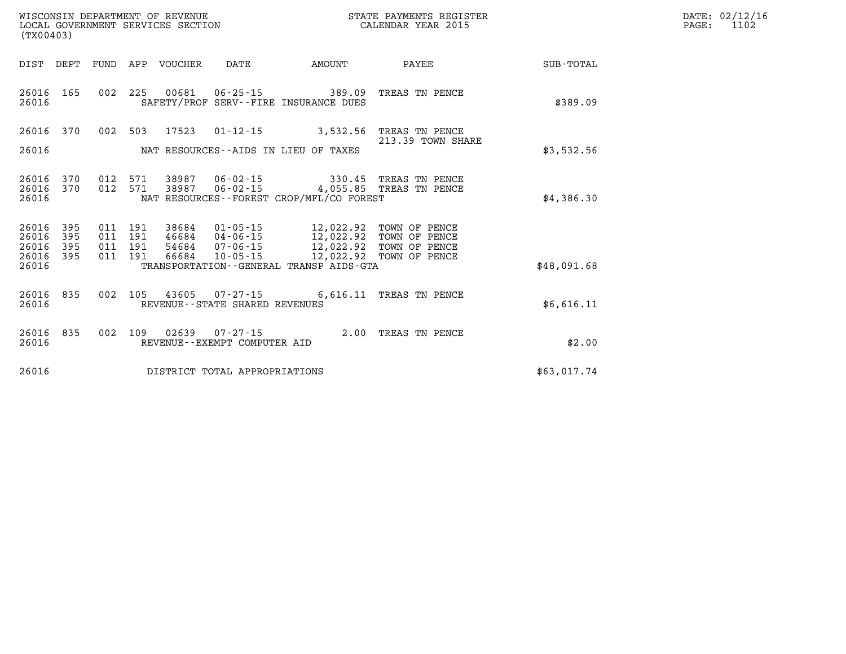| (TX00403)                                         |            |                          |                          |                                  | WISCONSIN DEPARTMENT OF REVENUE<br>LOCAL GOVERNMENT SERVICES SECTION |                                                                                                                                                              | STATE PAYMENTS REGISTER<br>CALENDAR YEAR 2015 |             | DATE: 02/12/16<br>PAGE:<br>1102 |
|---------------------------------------------------|------------|--------------------------|--------------------------|----------------------------------|----------------------------------------------------------------------|--------------------------------------------------------------------------------------------------------------------------------------------------------------|-----------------------------------------------|-------------|---------------------------------|
| DIST DEPT                                         |            |                          |                          | FUND APP VOUCHER                 | DATE                                                                 | AMOUNT                                                                                                                                                       | PAYEE                                         | SUB-TOTAL   |                                 |
| 26016 165<br>26016                                |            |                          |                          |                                  |                                                                      | 002 225 00681 06-25-15 389.09<br>SAFETY/PROF SERV--FIRE INSURANCE DUES                                                                                       | TREAS TN PENCE                                | \$389.09    |                                 |
| 26016 370                                         |            | 002 503                  |                          |                                  |                                                                      | 17523  01-12-15  3,532.56  TREAS TN PENCE                                                                                                                    | 213.39 TOWN SHARE                             |             |                                 |
| 26016                                             |            |                          |                          |                                  |                                                                      | NAT RESOURCES--AIDS IN LIEU OF TAXES                                                                                                                         |                                               | \$3,532.56  |                                 |
| 26016 370<br>26016 370<br>26016                   |            | 012<br>012               | 571<br>571               | 38987<br>38987                   |                                                                      | 06-02-15 330.45 TREAS TN PENCE<br>06-02-15 4,055.85 TREAS TN PENCE<br>NAT RESOURCES - - FOREST CROP/MFL/CO FOREST                                            |                                               | \$4,386.30  |                                 |
| 26016<br>26016<br>26016 395<br>26016 395<br>26016 | 395<br>395 | 011<br>011<br>011<br>011 | 191<br>191<br>191<br>191 | 38684<br>46684<br>54684<br>66684 | 04-06-15<br>07-06-15<br>$10 - 05 - 15$                               | 01-05-15 12,022.92 TOWN OF PENCE<br>12,022.92 TOWN OF PENCE<br>12,022.92 TOWN OF PENCE<br>12,022.92 TOWN OF PENCE<br>TRANSPORTATION--GENERAL TRANSP AIDS-GTA |                                               | \$48,091.68 |                                 |
| 26016 835<br>26016                                |            |                          | 002 105                  |                                  | 43605 07-27-15<br>REVENUE--STATE SHARED REVENUES                     |                                                                                                                                                              | 6,616.11 TREAS TN PENCE                       | \$6,616.11  |                                 |
| 26016 835<br>26016                                |            |                          |                          |                                  | REVENUE--EXEMPT COMPUTER AID                                         | 002 109 02639 07-27-15 2.00 TREAS TN PENCE                                                                                                                   |                                               | \$2.00      |                                 |
| 26016                                             |            |                          |                          |                                  | DISTRICT TOTAL APPROPRIATIONS                                        |                                                                                                                                                              |                                               | \$63,017.74 |                                 |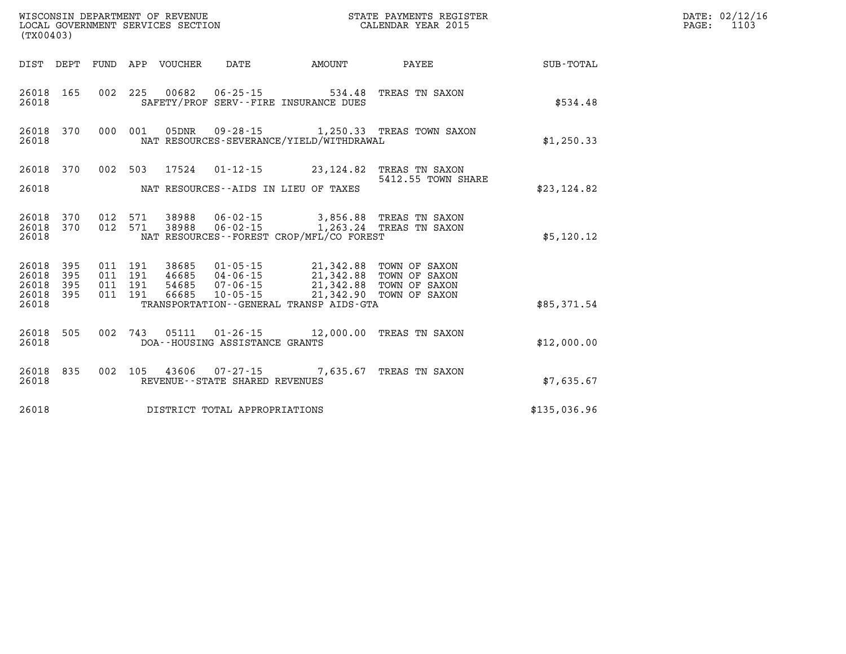| (TX00403)                                |            |                                          | WISCONSIN DEPARTMENT OF REVENUE<br>LOCAL GOVERNMENT SERVICES SECTION |                                   |                                                                                                                                                                                     | STATE PAYMENTS REGISTER<br>CALENDAR YEAR 2015    |              | DATE: 02/12/16<br>1103<br>$\mathtt{PAGE}$ : |
|------------------------------------------|------------|------------------------------------------|----------------------------------------------------------------------|-----------------------------------|-------------------------------------------------------------------------------------------------------------------------------------------------------------------------------------|--------------------------------------------------|--------------|---------------------------------------------|
|                                          |            |                                          | DIST DEPT FUND APP VOUCHER                                           | DATE                              | AMOUNT                                                                                                                                                                              | <b>PAYEE</b>                                     | SUB-TOTAL    |                                             |
| 26018                                    | 26018 165  |                                          |                                                                      |                                   | 002 225 00682 06-25-15 534.48 TREAS TN SAXON<br>SAFETY/PROF SERV--FIRE INSURANCE DUES                                                                                               |                                                  | \$534.48     |                                             |
| 26018                                    | 26018 370  |                                          |                                                                      |                                   | NAT RESOURCES-SEVERANCE/YIELD/WITHDRAWAL                                                                                                                                            | 000 001 05DNR 09-28-15 1,250.33 TREAS TOWN SAXON | \$1,250.33   |                                             |
|                                          |            |                                          |                                                                      |                                   | 26018 370 002 503 17524 01-12-15 23,124.82 TREAS TN SAXON                                                                                                                           | 5412.55 TOWN SHARE                               |              |                                             |
| 26018                                    |            |                                          |                                                                      |                                   | NAT RESOURCES--AIDS IN LIEU OF TAXES                                                                                                                                                |                                                  | \$23,124.82  |                                             |
| 26018                                    | 26018 370  |                                          |                                                                      |                                   | 26018 370 012 571 38988 06-02-15 3,856.88 TREAS TN SAXON<br>012 571 38988 06-02-15 1,263.24 TREAS TN SAXON<br>NAT RESOURCES - - FOREST CROP/MFL/CO FOREST                           |                                                  | \$5,120.12   |                                             |
| 26018 395<br>26018<br>26018<br>26018 395 | 395<br>395 | 011 191<br>011 191<br>011 191<br>011 191 |                                                                      |                                   | 38685  01-05-15  21,342.88  TOWN OF SAXON<br>46685 04-06-15 21,342.88 TOWN OF SAXON<br>54685   07-06-15   21,342.88   TOWN OF SAXON<br>66685   10-05-15   21,342.90   TOWN OF SAXON |                                                  |              |                                             |
| 26018                                    |            |                                          |                                                                      |                                   | TRANSPORTATION--GENERAL TRANSP AIDS-GTA                                                                                                                                             |                                                  | \$85,371.54  |                                             |
| 26018                                    | 26018 505  |                                          |                                                                      | DOA--HOUSING ASSISTANCE GRANTS    | 002 743 05111 01-26-15 12,000.00 TREAS TN SAXON                                                                                                                                     |                                                  | \$12,000.00  |                                             |
| 26018                                    | 26018 835  |                                          |                                                                      | REVENUE - - STATE SHARED REVENUES | 002 105 43606 07-27-15 7,635.67 TREAS TN SAXON                                                                                                                                      |                                                  | \$7,635.67   |                                             |
| 26018                                    |            |                                          |                                                                      | DISTRICT TOTAL APPROPRIATIONS     |                                                                                                                                                                                     |                                                  | \$135,036.96 |                                             |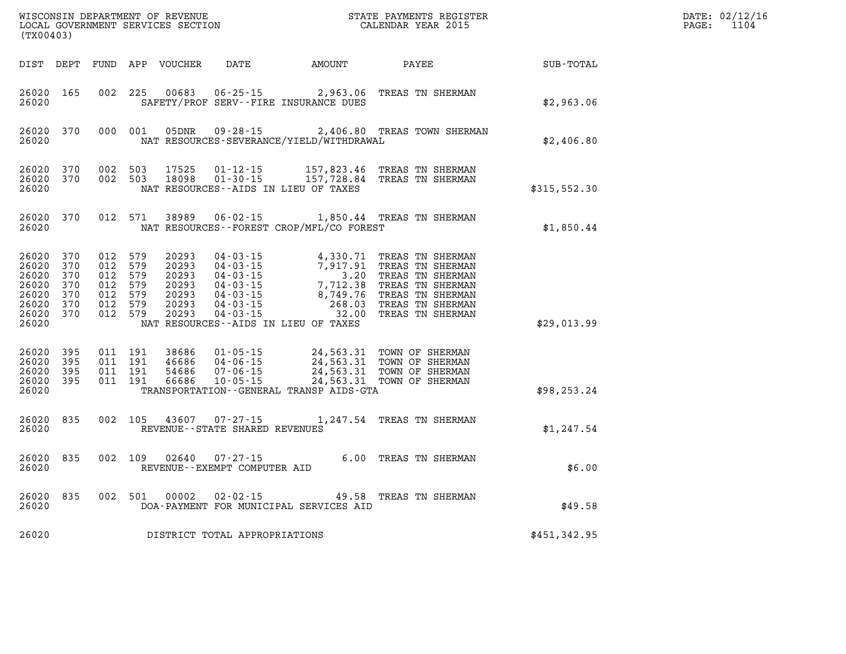| (TX00403)                                                                |                                        |                                                                           |         |                |                                                |                                          |                                                                                                                                                                                                                                          |              | DATE: 02/12/16<br>$\mathtt{PAGE:}$<br>1104 |
|--------------------------------------------------------------------------|----------------------------------------|---------------------------------------------------------------------------|---------|----------------|------------------------------------------------|------------------------------------------|------------------------------------------------------------------------------------------------------------------------------------------------------------------------------------------------------------------------------------------|--------------|--------------------------------------------|
|                                                                          |                                        |                                                                           |         |                |                                                | DIST DEPT FUND APP VOUCHER DATE AMOUNT   | <b>PAYEE</b>                                                                                                                                                                                                                             | SUB-TOTAL    |                                            |
| 26020 165<br>26020                                                       |                                        | 002 225                                                                   |         | 00683          |                                                | SAFETY/PROF SERV--FIRE INSURANCE DUES    | 06-25-15 2,963.06 TREAS TN SHERMAN                                                                                                                                                                                                       | \$2,963.06   |                                            |
| 26020                                                                    | 26020 370                              |                                                                           | 000 001 |                |                                                | NAT RESOURCES-SEVERANCE/YIELD/WITHDRAWAL | 05DNR  09-28-15  2,406.80 TREAS TOWN SHERMAN                                                                                                                                                                                             | \$2,406.80   |                                            |
| 26020 370<br>26020 370<br>26020                                          |                                        | 002 503<br>002 503                                                        |         | 17525<br>18098 |                                                | NAT RESOURCES - AIDS IN LIEU OF TAXES    | 01-12-15 157,823.46 TREAS TN SHERMAN<br>01-30-15 157,728.84 TREAS TN SHERMAN                                                                                                                                                             | \$315,552.30 |                                            |
| 26020                                                                    | 26020 370                              |                                                                           |         |                |                                                | NAT RESOURCES--FOREST CROP/MFL/CO FOREST | 012 571 38989 06-02-15 1,850.44 TREAS TN SHERMAN                                                                                                                                                                                         | \$1,850.44   |                                            |
| 26020<br>26020<br>26020<br>26020<br>26020<br>26020<br>26020 370<br>26020 | 370<br>370<br>370<br>370<br>370<br>370 | 012 579<br>012 579<br>012 579<br>012 579<br>012 579<br>012 579<br>012 579 |         |                |                                                | NAT RESOURCES--AIDS IN LIEU OF TAXES     | 20293 04-03-15 4,330.71 TREAS TN SHERMAN<br>20293 04-03-15 7,917.91 TREAS TN SHERMAN<br>20293 04-03-15 3.20 TREAS TN SHERMAN<br>20293 04-03-15 7,712.38 TREAS TN SHERMAN<br>20293 04-03-15 8,749.76 TREAS TN SHERMAN<br>20293 04-03-15 2 | \$29,013.99  |                                            |
| 26020 395<br>26020<br>26020<br>26020 395<br>26020                        | 395<br>395                             | 011 191<br>011 191<br>011 191<br>011 191                                  |         |                |                                                | TRANSPORTATION--GENERAL TRANSP AIDS-GTA  | 38686 01-05-15 24,563.31 TOWN OF SHERMAN<br>46686 04-06-15 24,563.31 TOWN OF SHERMAN<br>54686 07-06-15 24,563.31 TOWN OF SHERMAN<br>56686 10-05-15 24,563.31 TOWN OF SHERMAN                                                             | \$98, 253.24 |                                            |
| 26020 835<br>26020                                                       |                                        | 002 105                                                                   |         |                | REVENUE - - STATE SHARED REVENUES              |                                          | 43607 07-27-15 1,247.54 TREAS TN SHERMAN                                                                                                                                                                                                 | \$1,247.54   |                                            |
| 26020 835<br>26020                                                       |                                        | 002 109                                                                   |         |                | 02640 07-27-15<br>REVENUE--EXEMPT COMPUTER AID |                                          | 6.00 TREAS TN SHERMAN                                                                                                                                                                                                                    | \$6.00       |                                            |
| 26020 835<br>26020                                                       |                                        |                                                                           |         | 002 501 00002  | $02 - 02 - 15$                                 | DOA-PAYMENT FOR MUNICIPAL SERVICES AID   | 49.58 TREAS TN SHERMAN                                                                                                                                                                                                                   | \$49.58      |                                            |
| 26020                                                                    |                                        |                                                                           |         |                | DISTRICT TOTAL APPROPRIATIONS                  |                                          |                                                                                                                                                                                                                                          | \$451,342.95 |                                            |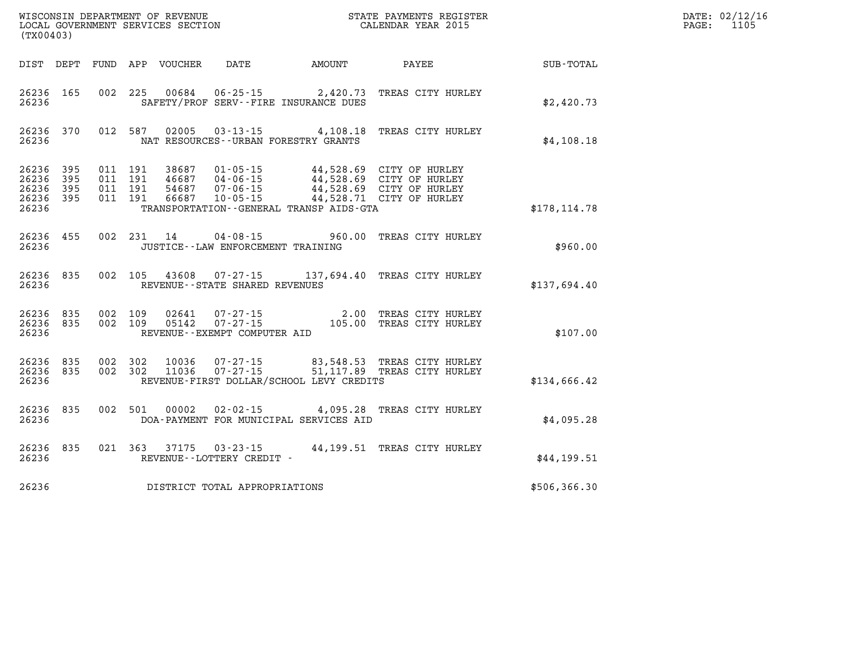| (TX00403)                                 |                            |                                          | WISCONSIN DEPARTMENT OF REVENUE<br>LOCAL GOVERNMENT SERVICES SECTION | STATE PAYMENTS REGISTER<br>CALENDAR YEAR 2015            |                                                                  | DATE: 02/12/16<br>1105<br>PAGE:                                                                              |               |  |
|-------------------------------------------|----------------------------|------------------------------------------|----------------------------------------------------------------------|----------------------------------------------------------|------------------------------------------------------------------|--------------------------------------------------------------------------------------------------------------|---------------|--|
|                                           |                            |                                          | DIST DEPT FUND APP VOUCHER                                           | DATE                                                     | <b>AMOUNT</b>                                                    | PAYEE                                                                                                        | SUB-TOTAL     |  |
| 26236 165<br>26236                        |                            | 002 225                                  | 00684                                                                |                                                          | $06 - 25 - 15$ 2,420.73<br>SAFETY/PROF SERV--FIRE INSURANCE DUES | TREAS CITY HURLEY                                                                                            | \$2,420.73    |  |
| 26236 370<br>26236                        |                            | 012 587                                  |                                                                      | NAT RESOURCES--URBAN FORESTRY GRANTS                     | 02005 03-13-15 4,108.18                                          | TREAS CITY HURLEY                                                                                            | \$4,108.18    |  |
| 26236<br>26236<br>26236<br>26236<br>26236 | 395<br>395<br>395<br>- 395 | 011 191<br>011 191<br>011 191<br>011 191 | 38687<br>46687<br>54687<br>66687                                     | $01 - 05 - 15$<br>04-06-15<br>07-06-15<br>$10 - 05 - 15$ | TRANSPORTATION - - GENERAL TRANSP AIDS - GTA                     | 44,528.69 CITY OF HURLEY<br>44,528.69 CITY OF HURLEY<br>44,528.69 CITY OF HURLEY<br>44,528.71 CITY OF HURLEY | \$178, 114.78 |  |
| 26236 455<br>26236                        |                            |                                          | 002 231 14                                                           | JUSTICE - - LAW ENFORCEMENT TRAINING                     |                                                                  | 04-08-15 960.00 TREAS CITY HURLEY                                                                            | \$960.00      |  |
| 26236 835<br>26236                        |                            |                                          |                                                                      | REVENUE--STATE SHARED REVENUES                           |                                                                  | 002 105 43608 07-27-15 137,694.40 TREAS CITY HURLEY                                                          | \$137,694.40  |  |
| 26236<br>26236 835<br>26236               | 835                        | 002 109<br>002 109                       | 02641<br>05142                                                       | 07-27-15<br>REVENUE--EXEMPT COMPUTER AID                 |                                                                  | 07-27-15 2.00 TREAS CITY HURLEY<br>105.00 TREAS CITY HURLEY                                                  | \$107.00      |  |
| 26236 835<br>26236 835<br>26236           |                            | 002 302<br>002 302                       | 10036<br>11036                                                       | $07 - 27 - 15$<br>$07 - 27 - 15$                         | REVENUE-FIRST DOLLAR/SCHOOL LEVY CREDITS                         | 83,548.53 TREAS CITY HURLEY<br>83,548.53 TREAS CITY HURLEY<br>51,117.89 TREAS CITY HURLEY                    | \$134,666.42  |  |
| 26236<br>26236                            | 835                        | 002 501                                  | 00002                                                                | $02 - 02 - 15$                                           | DOA-PAYMENT FOR MUNICIPAL SERVICES AID                           | 4,095.28 TREAS CITY HURLEY                                                                                   | \$4,095.28    |  |
| 26236<br>26236                            | 835                        | 021 363                                  | 37175                                                                | $03 - 23 - 15$<br>REVENUE--LOTTERY CREDIT -              |                                                                  | 44,199.51 TREAS CITY HURLEY                                                                                  | \$44,199.51   |  |
| 26236                                     |                            |                                          |                                                                      | DISTRICT TOTAL APPROPRIATIONS                            |                                                                  |                                                                                                              | \$506,366.30  |  |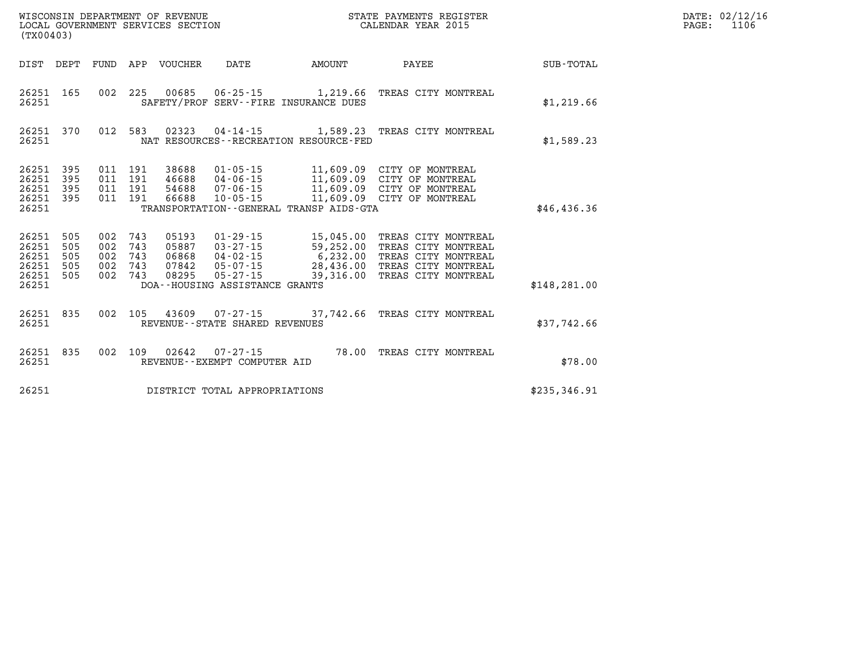| (TX00403)                                          |                                 |                                 |                                 | WISCONSIN DEPARTMENT OF REVENUE<br>LOCAL GOVERNMENT SERVICES SECTION |                                                                                                                          |                                                                                             | STATE PAYMENTS REGISTER<br>CALENDAR YEAR 2015                                                                   |                  |
|----------------------------------------------------|---------------------------------|---------------------------------|---------------------------------|----------------------------------------------------------------------|--------------------------------------------------------------------------------------------------------------------------|---------------------------------------------------------------------------------------------|-----------------------------------------------------------------------------------------------------------------|------------------|
| DIST                                               | DEPT                            | FUND                            | APP                             | <b>VOUCHER</b>                                                       | DATE                                                                                                                     | AMOUNT                                                                                      | PAYEE                                                                                                           | <b>SUB-TOTAL</b> |
| 26251<br>26251                                     | 165                             | 002                             | 225                             | 00685                                                                | $06 - 25 - 15$                                                                                                           | 1,219.66<br>SAFETY/PROF SERV--FIRE INSURANCE DUES                                           | TREAS CITY MONTREAL                                                                                             | \$1,219.66       |
| 26251<br>26251                                     | 370                             | 012                             | 583                             | 02323                                                                | $04 - 14 - 15$                                                                                                           | 1,589.23<br>NAT RESOURCES - - RECREATION RESOURCE - FED                                     | TREAS CITY MONTREAL                                                                                             | \$1,589.23       |
| 26251<br>26251<br>26251<br>26251<br>26251          | 395<br>395<br>395<br>395        | 011<br>011<br>011<br>011        | 191<br>191<br>191<br>191        | 38688<br>46688<br>54688<br>66688                                     | $01 - 05 - 15$<br>$04 - 06 - 15$<br>$07 - 06 - 15$<br>$10 - 05 - 15$                                                     | 11,609.09<br>11,609.09<br>11,609.09<br>11,609.09<br>TRANSPORTATION--GENERAL TRANSP AIDS-GTA | CITY OF MONTREAL<br>CITY OF MONTREAL<br>CITY OF MONTREAL<br>CITY OF MONTREAL                                    | \$46,436.36      |
| 26251<br>26251<br>26251<br>26251<br>26251<br>26251 | 505<br>505<br>505<br>505<br>505 | 002<br>002<br>002<br>002<br>002 | 743<br>743<br>743<br>743<br>743 | 05193<br>05887<br>06868<br>07842<br>08295                            | $01 - 29 - 15$<br>$03 - 27 - 15$<br>$04 - 02 - 15$<br>$05 - 07 - 15$<br>$05 - 27 - 15$<br>DOA--HOUSING ASSISTANCE GRANTS | 15,045.00<br>59,252.00<br>6,232.00<br>28,436.00<br>39,316.00                                | TREAS CITY MONTREAL<br>TREAS CITY MONTREAL<br>TREAS CITY MONTREAL<br>TREAS CITY MONTREAL<br>TREAS CITY MONTREAL | \$148, 281.00    |
| 26251<br>26251                                     | 835                             | 002                             | 105                             | 43609                                                                | $07 - 27 - 15$<br>REVENUE - - STATE SHARED REVENUES                                                                      | 37,742.66                                                                                   | TREAS CITY MONTREAL                                                                                             | \$37,742.66      |
| 26251<br>26251                                     | 835                             | 002                             | 109                             | 02642                                                                | $07 - 27 - 15$<br>REVENUE - - EXEMPT COMPUTER AID                                                                        | 78.00                                                                                       | TREAS CITY MONTREAL                                                                                             | \$78.00          |
| 26251                                              |                                 |                                 |                                 |                                                                      | DISTRICT TOTAL APPROPRIATIONS                                                                                            |                                                                                             |                                                                                                                 | \$235,346.91     |

**DATE: 02/12/16<br>PAGE: 1106**